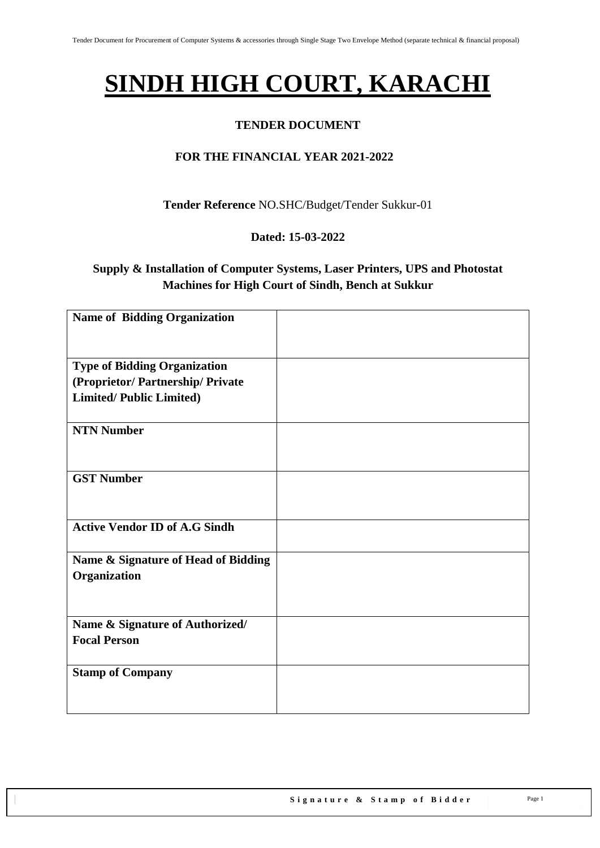# **SINDH HIGH COURT, KARACHI**

### **TENDER DOCUMENT**

## **FOR THE FINANCIAL YEAR 2021-2022**

**Tender Reference** NO.SHC/Budget/Tender Sukkur-01

#### **Dated: 15-03-2022**

# **Supply & Installation of Computer Systems, Laser Printers, UPS and Photostat Machines for High Court of Sindh, Bench at Sukkur**

| <b>Name of Bidding Organization</b>  |  |
|--------------------------------------|--|
| <b>Type of Bidding Organization</b>  |  |
| (Proprietor/Partnership/Private      |  |
| <b>Limited/Public Limited)</b>       |  |
| <b>NTN Number</b>                    |  |
| <b>GST Number</b>                    |  |
| <b>Active Vendor ID of A.G Sindh</b> |  |
| Name & Signature of Head of Bidding  |  |
| Organization                         |  |
| Name & Signature of Authorized/      |  |
| <b>Focal Person</b>                  |  |
| <b>Stamp of Company</b>              |  |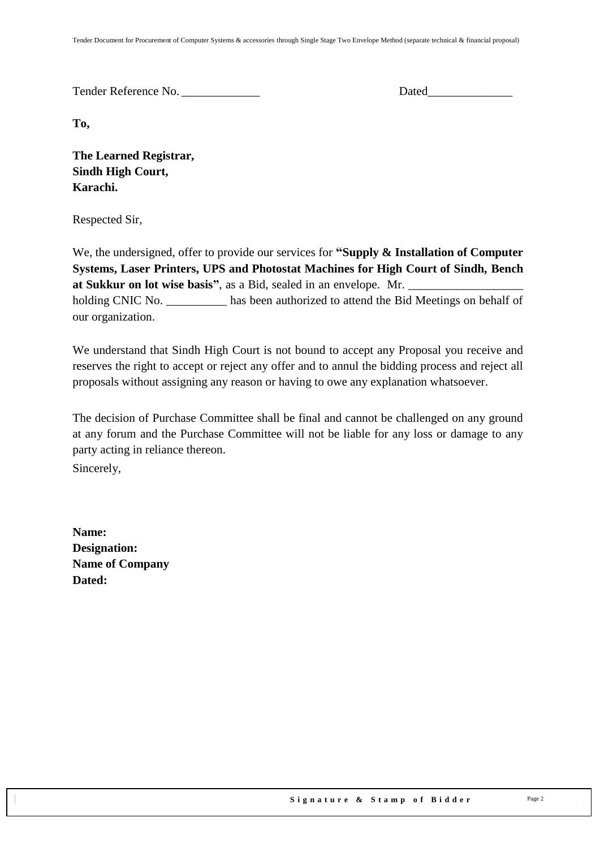Tender Reference No. **Dated** 

**To,** 

**The Learned Registrar, Sindh High Court, Karachi.**

Respected Sir,

We, the undersigned, offer to provide our services for **"Supply & Installation of Computer Systems, Laser Printers, UPS and Photostat Machines for High Court of Sindh, Bench at Sukkur on lot wise basis",** as a Bid, sealed in an envelope. Mr. holding CNIC No. has been authorized to attend the Bid Meetings on behalf of our organization.

We understand that Sindh High Court is not bound to accept any Proposal you receive and reserves the right to accept or reject any offer and to annul the bidding process and reject all proposals without assigning any reason or having to owe any explanation whatsoever.

The decision of Purchase Committee shall be final and cannot be challenged on any ground at any forum and the Purchase Committee will not be liable for any loss or damage to any party acting in reliance thereon.

Sincerely,

**Name: Designation: Name of Company Dated:**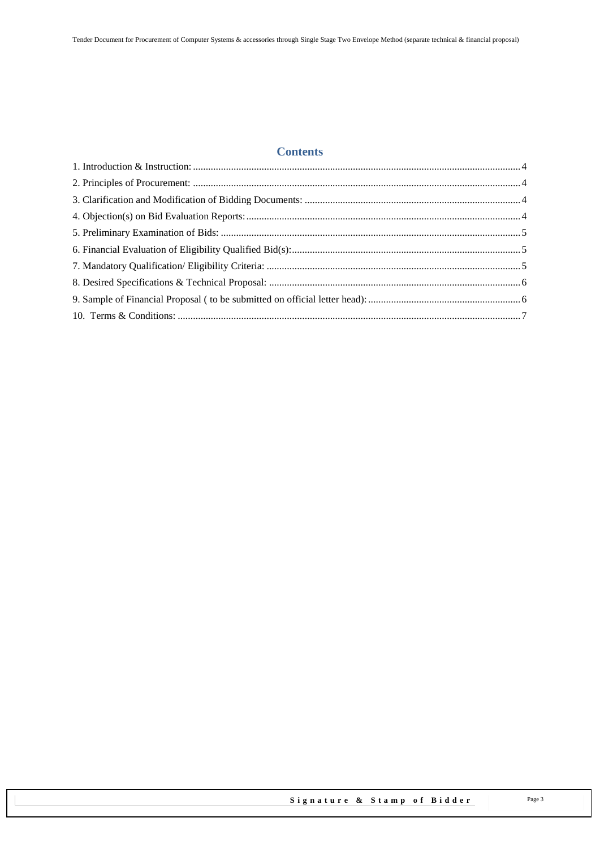## **Contents**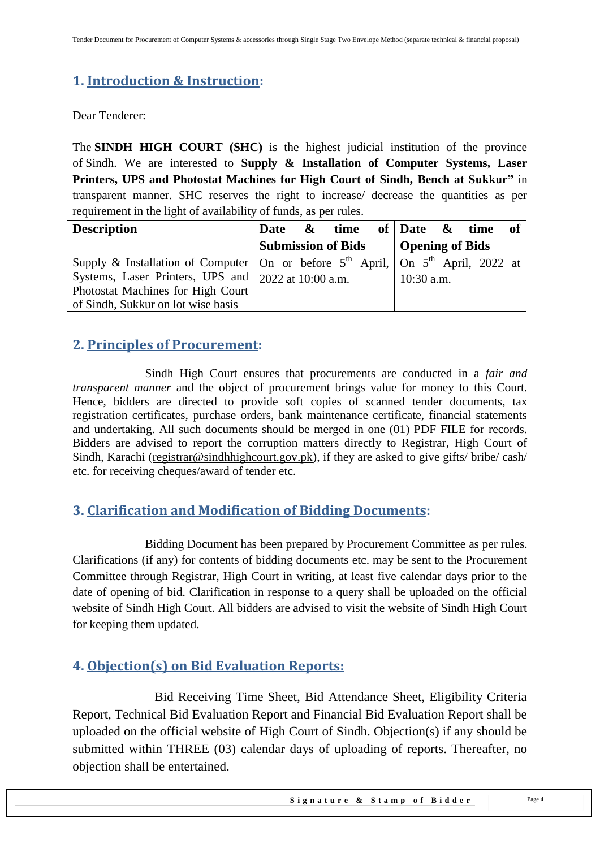# <span id="page-3-0"></span>**1. Introduction & Instruction:**

Dear Tenderer:

The **SINDH HIGH COURT (SHC)** is the highest judicial institution of the province of [Sindh.](https://en.wikipedia.org/wiki/Sindh) We are interested to **Supply & Installation of Computer Systems, Laser Printers, UPS and Photostat Machines for High Court of Sindh, Bench at Sukkur"** in transparent manner. SHC reserves the right to increase/ decrease the quantities as per requirement in the light of availability of funds, as per rules.

| <b>Description</b>                                                                                   | Date $\&$ time of Date $\&$ time of |  |              |                        |  |
|------------------------------------------------------------------------------------------------------|-------------------------------------|--|--------------|------------------------|--|
|                                                                                                      | <b>Submission of Bids</b>           |  |              | <b>Opening of Bids</b> |  |
| Supply & Installation of Computer   On or before $5th$ April,   On $5th$ April, $\overline{2022}$ at |                                     |  |              |                        |  |
| Systems, Laser Printers, UPS and 2022 at 10:00 a.m.                                                  |                                     |  | $10:30$ a.m. |                        |  |
| Photostat Machines for High Court                                                                    |                                     |  |              |                        |  |
| of Sindh, Sukkur on lot wise basis                                                                   |                                     |  |              |                        |  |

# <span id="page-3-1"></span>**2. Principles of Procurement:**

Sindh High Court ensures that procurements are conducted in a *fair and transparent manner* and the object of procurement brings value for money to this Court. Hence, bidders are directed to provide soft copies of scanned tender documents, tax registration certificates, purchase orders, bank maintenance certificate, financial statements and undertaking. All such documents should be merged in one (01) PDF FILE for records. Bidders are advised to report the corruption matters directly to Registrar, High Court of Sindh, Karachi [\(registrar@sindhhighcourt.gov.pk\)](mailto:registrar@sindhhighcourt.gov.pk), if they are asked to give gifts/ bribe/ cash/ etc. for receiving cheques/award of tender etc.

# <span id="page-3-2"></span>**3. Clarification and Modification of Bidding Documents:**

Bidding Document has been prepared by Procurement Committee as per rules. Clarifications (if any) for contents of bidding documents etc. may be sent to the Procurement Committee through Registrar, High Court in writing, at least five calendar days prior to the date of opening of bid. Clarification in response to a query shall be uploaded on the official website of Sindh High Court. All bidders are advised to visit the website of Sindh High Court for keeping them updated.

# <span id="page-3-3"></span>**4. Objection(s) on Bid Evaluation Reports:**

 Bid Receiving Time Sheet, Bid Attendance Sheet, Eligibility Criteria Report, Technical Bid Evaluation Report and Financial Bid Evaluation Report shall be uploaded on the official website of High Court of Sindh. Objection(s) if any should be submitted within THREE (03) calendar days of uploading of reports. Thereafter, no objection shall be entertained.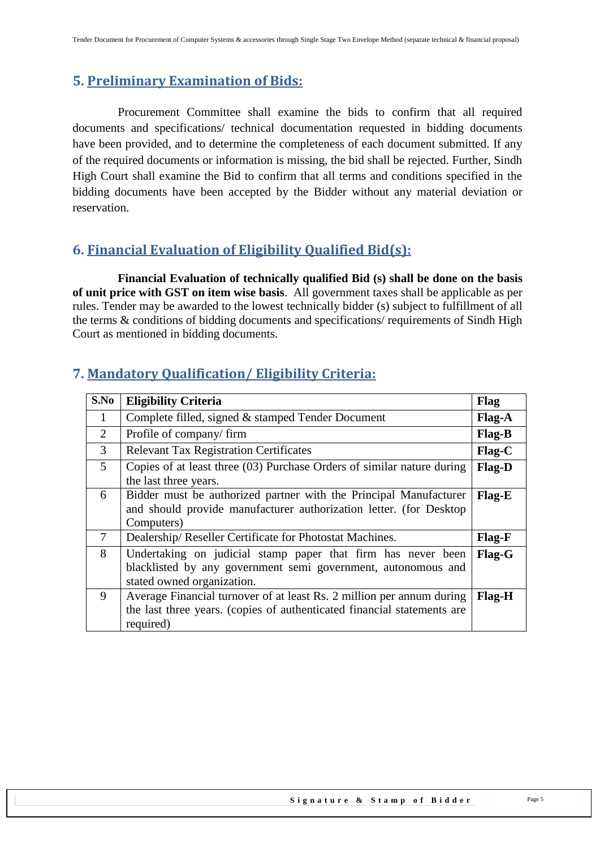# <span id="page-4-0"></span>**5. Preliminary Examination of Bids:**

 Procurement Committee shall examine the bids to confirm that all required documents and specifications/ technical documentation requested in bidding documents have been provided, and to determine the completeness of each document submitted. If any of the required documents or information is missing, the bid shall be rejected. Further, Sindh High Court shall examine the Bid to confirm that all terms and conditions specified in the bidding documents have been accepted by the Bidder without any material deviation or reservation.

# <span id="page-4-1"></span>**6. Financial Evaluation of Eligibility Qualified Bid(s):**

 **Financial Evaluation of technically qualified Bid (s) shall be done on the basis of unit price with GST on item wise basis**. All government taxes shall be applicable as per rules. Tender may be awarded to the lowest technically bidder (s) subject to fulfillment of all the terms & conditions of bidding documents and specifications/ requirements of Sindh High Court as mentioned in bidding documents.

| S.No           | <b>Eligibility Criteria</b>                                                                                                                                   | Flag          |
|----------------|---------------------------------------------------------------------------------------------------------------------------------------------------------------|---------------|
| $\mathbf{1}$   | Complete filled, signed & stamped Tender Document                                                                                                             | Flag-A        |
| 2              | Profile of company/firm                                                                                                                                       | Flag-B        |
| 3              | <b>Relevant Tax Registration Certificates</b>                                                                                                                 | $Flag-C$      |
| 5 <sup>5</sup> | Copies of at least three (03) Purchase Orders of similar nature during<br>the last three years.                                                               | Flag-D        |
| 6              | Bidder must be authorized partner with the Principal Manufacturer<br>and should provide manufacturer authorization letter. (for Desktop<br>Computers)         | Flag-E        |
| 7              | Dealership/Reseller Certificate for Photostat Machines.                                                                                                       | Flag-F        |
| 8              | Undertaking on judicial stamp paper that firm has never been<br>blacklisted by any government semi government, autonomous and<br>stated owned organization.   | Flag-G        |
| 9              | Average Financial turnover of at least Rs. 2 million per annum during<br>the last three years. (copies of authenticated financial statements are<br>required) | <b>Flag-H</b> |

# <span id="page-4-2"></span>**7. Mandatory Qualification/ Eligibility Criteria:**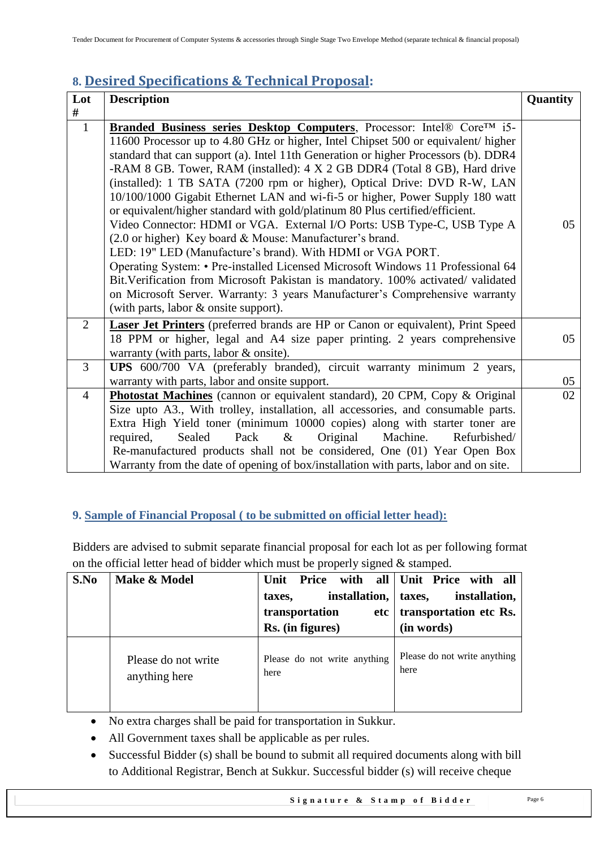# <span id="page-5-0"></span>**8. Desired Specifications & Technical Proposal:**

| Lot            | <b>Description</b>                                                                                                                                                                                                                                                                                                                                                                                                                                                                                                                                                                                                                                                                                                                                                                                                                                                                                                                                                                                                                                                                               | Quantity |
|----------------|--------------------------------------------------------------------------------------------------------------------------------------------------------------------------------------------------------------------------------------------------------------------------------------------------------------------------------------------------------------------------------------------------------------------------------------------------------------------------------------------------------------------------------------------------------------------------------------------------------------------------------------------------------------------------------------------------------------------------------------------------------------------------------------------------------------------------------------------------------------------------------------------------------------------------------------------------------------------------------------------------------------------------------------------------------------------------------------------------|----------|
| #              |                                                                                                                                                                                                                                                                                                                                                                                                                                                                                                                                                                                                                                                                                                                                                                                                                                                                                                                                                                                                                                                                                                  |          |
| $\mathbf{1}$   | Branded Business series Desktop Computers, Processor: Intel® Core <sup>TM</sup> i5-<br>11600 Processor up to 4.80 GHz or higher, Intel Chipset 500 or equivalent/ higher<br>standard that can support (a). Intel 11th Generation or higher Processors (b). DDR4<br>-RAM 8 GB. Tower, RAM (installed): 4 X 2 GB DDR4 (Total 8 GB), Hard drive<br>(installed): 1 TB SATA (7200 rpm or higher), Optical Drive: DVD R-W, LAN<br>10/100/1000 Gigabit Ethernet LAN and wi-fi-5 or higher, Power Supply 180 watt<br>or equivalent/higher standard with gold/platinum 80 Plus certified/efficient.<br>Video Connector: HDMI or VGA. External I/O Ports: USB Type-C, USB Type A<br>(2.0 or higher) Key board & Mouse: Manufacturer's brand.<br>LED: 19" LED (Manufacture's brand). With HDMI or VGA PORT.<br>Operating System: • Pre-installed Licensed Microsoft Windows 11 Professional 64<br>Bit. Verification from Microsoft Pakistan is mandatory. 100% activated/validated<br>on Microsoft Server. Warranty: 3 years Manufacturer's Comprehensive warranty<br>(with parts, labor & onsite support). | 05       |
| 2              | Laser Jet Printers (preferred brands are HP or Canon or equivalent), Print Speed<br>18 PPM or higher, legal and A4 size paper printing. 2 years comprehensive<br>warranty (with parts, labor & onsite).                                                                                                                                                                                                                                                                                                                                                                                                                                                                                                                                                                                                                                                                                                                                                                                                                                                                                          | 05       |
| 3              | UPS 600/700 VA (preferably branded), circuit warranty minimum 2 years,<br>warranty with parts, labor and onsite support.                                                                                                                                                                                                                                                                                                                                                                                                                                                                                                                                                                                                                                                                                                                                                                                                                                                                                                                                                                         | 05       |
| $\overline{4}$ | <b>Photostat Machines</b> (cannon or equivalent standard), 20 CPM, Copy & Original<br>Size upto A3., With trolley, installation, all accessories, and consumable parts.<br>Extra High Yield toner (minimum 10000 copies) along with starter toner are<br>Original<br>Machine.<br>required,<br>Sealed<br>Pack<br>$\&$<br>Refurbished/<br>Re-manufactured products shall not be considered, One (01) Year Open Box<br>Warranty from the date of opening of box/installation with parts, labor and on site.                                                                                                                                                                                                                                                                                                                                                                                                                                                                                                                                                                                         | 02       |

## <span id="page-5-1"></span>**9. Sample of Financial Proposal ( to be submitted on official letter head):**

Bidders are advised to submit separate financial proposal for each lot as per following format on the official letter head of bidder which must be properly signed & stamped.

| S.No | Make & Model        | Price<br>Unit<br>installation,<br>taxes,<br>transportation<br>etc<br>Rs. (in figures) | with all Unit Price with all<br>installation,<br>taxes,<br>transportation etc Rs.<br>(in words) |
|------|---------------------|---------------------------------------------------------------------------------------|-------------------------------------------------------------------------------------------------|
|      | Please do not write | Please do not write anything                                                          | Please do not write anything                                                                    |
|      | anything here       | here                                                                                  | here                                                                                            |

- No extra charges shall be paid for transportation in Sukkur.
- All Government taxes shall be applicable as per rules.
- Successful Bidder (s) shall be bound to submit all required documents along with bill to Additional Registrar, Bench at Sukkur. Successful bidder (s) will receive cheque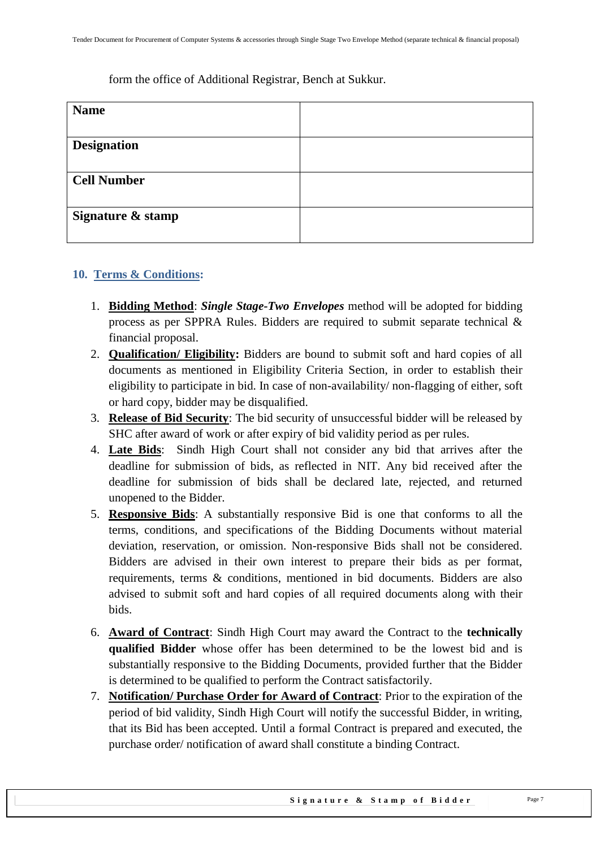#### form the office of Additional Registrar, Bench at Sukkur.

| <b>Name</b>        |  |
|--------------------|--|
|                    |  |
| <b>Designation</b> |  |
|                    |  |
| <b>Cell Number</b> |  |
|                    |  |
| Signature & stamp  |  |
|                    |  |

#### <span id="page-6-0"></span>**10. Terms & Conditions:**

- 1. **Bidding Method**: *Single Stage-Two Envelopes* method will be adopted for bidding process as per SPPRA Rules. Bidders are required to submit separate technical & financial proposal.
- 2. **Qualification/ Eligibility:** Bidders are bound to submit soft and hard copies of all documents as mentioned in Eligibility Criteria Section, in order to establish their eligibility to participate in bid. In case of non-availability/ non-flagging of either, soft or hard copy, bidder may be disqualified.
- 3. **Release of Bid Security**: The bid security of unsuccessful bidder will be released by SHC after award of work or after expiry of bid validity period as per rules.
- 4. **Late Bids**: Sindh High Court shall not consider any bid that arrives after the deadline for submission of bids, as reflected in NIT. Any bid received after the deadline for submission of bids shall be declared late, rejected, and returned unopened to the Bidder.
- 5. **Responsive Bids**: A substantially responsive Bid is one that conforms to all the terms, conditions, and specifications of the Bidding Documents without material deviation, reservation, or omission. Non-responsive Bids shall not be considered. Bidders are advised in their own interest to prepare their bids as per format, requirements, terms & conditions, mentioned in bid documents. Bidders are also advised to submit soft and hard copies of all required documents along with their bids.
- 6. **Award of Contract**: Sindh High Court may award the Contract to the **technically qualified Bidder** whose offer has been determined to be the lowest bid and is substantially responsive to the Bidding Documents, provided further that the Bidder is determined to be qualified to perform the Contract satisfactorily.
- 7. **Notification/ Purchase Order for Award of Contract**: Prior to the expiration of the period of bid validity, Sindh High Court will notify the successful Bidder, in writing, that its Bid has been accepted. Until a formal Contract is prepared and executed, the purchase order/ notification of award shall constitute a binding Contract.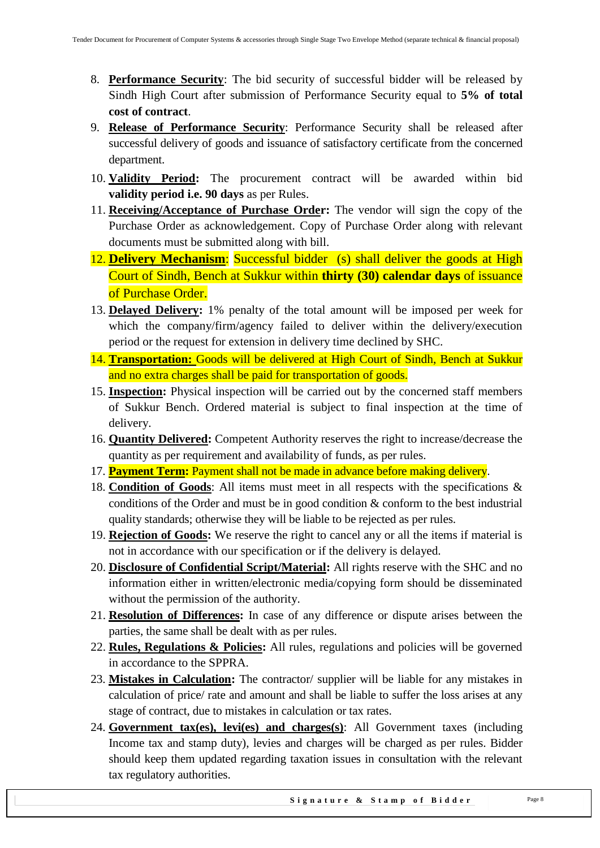- 8. **Performance Security**: The bid security of successful bidder will be released by Sindh High Court after submission of Performance Security equal to **5% of total cost of contract**.
- 9. **Release of Performance Security**: Performance Security shall be released after successful delivery of goods and issuance of satisfactory certificate from the concerned department.
- 10. **Validity Period:** The procurement contract will be awarded within bid **validity period i.e. 90 days** as per Rules.
- 11. **Receiving/Acceptance of Purchase Order:** The vendor will sign the copy of the Purchase Order as acknowledgement. Copy of Purchase Order along with relevant documents must be submitted along with bill.
- 12. **Delivery Mechanism**: Successful bidder (s) shall deliver the goods at High Court of Sindh, Bench at Sukkur within **thirty (30) calendar days** of issuance of Purchase Order.
- 13. **Delayed Delivery:** 1% penalty of the total amount will be imposed per week for which the company/firm/agency failed to deliver within the delivery/execution period or the request for extension in delivery time declined by SHC.
- 14. **Transportation:** Goods will be delivered at High Court of Sindh, Bench at Sukkur and no extra charges shall be paid for transportation of goods.
- 15. **Inspection:** Physical inspection will be carried out by the concerned staff members of Sukkur Bench. Ordered material is subject to final inspection at the time of delivery.
- 16. **Quantity Delivered:** Competent Authority reserves the right to increase/decrease the quantity as per requirement and availability of funds, as per rules.
- 17. **Payment Term:** Payment shall not be made in advance before making delivery.
- 18. **Condition of Goods**: All items must meet in all respects with the specifications & conditions of the Order and must be in good condition & conform to the best industrial quality standards; otherwise they will be liable to be rejected as per rules.
- 19. **Rejection of Goods:** We reserve the right to cancel any or all the items if material is not in accordance with our specification or if the delivery is delayed.
- 20. **Disclosure of Confidential Script/Material:** All rights reserve with the SHC and no information either in written/electronic media/copying form should be disseminated without the permission of the authority.
- 21. **Resolution of Differences:** In case of any difference or dispute arises between the parties, the same shall be dealt with as per rules.
- 22. **Rules, Regulations & Policies:** All rules, regulations and policies will be governed in accordance to the SPPRA.
- 23. **Mistakes in Calculation:** The contractor/ supplier will be liable for any mistakes in calculation of price/ rate and amount and shall be liable to suffer the loss arises at any stage of contract, due to mistakes in calculation or tax rates.
- 24. **Government tax(es), levi(es) and charges(s)**: All Government taxes (including Income tax and stamp duty), levies and charges will be charged as per rules. Bidder should keep them updated regarding taxation issues in consultation with the relevant tax regulatory authorities.